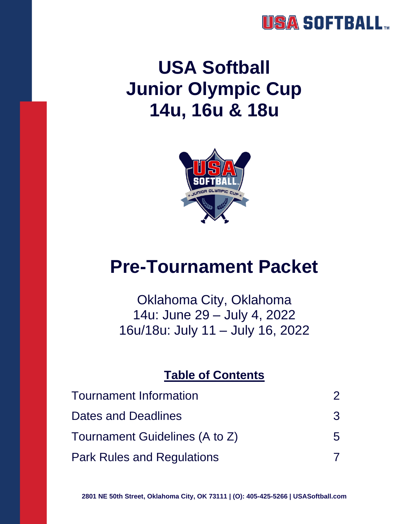## **USA SOFTBALL**

# **USA Softball Junior Olympic Cup 14u, 16u & 18u**



# **Pre-Tournament Packet**

Oklahoma City, Oklahoma 14u: June 29 – July 4, 2022 16u/18u: July 11 – July 16, 2022

#### **Table of Contents**

| <b>Tournament Information</b>     | $\mathcal P$ |
|-----------------------------------|--------------|
| Dates and Deadlines               | 3            |
| Tournament Guidelines (A to Z)    | 5            |
| <b>Park Rules and Regulations</b> |              |

**2801 NE 50th Street, Oklahoma City, OK 73111 | (O): 405-425-5266 | USASoftball.com**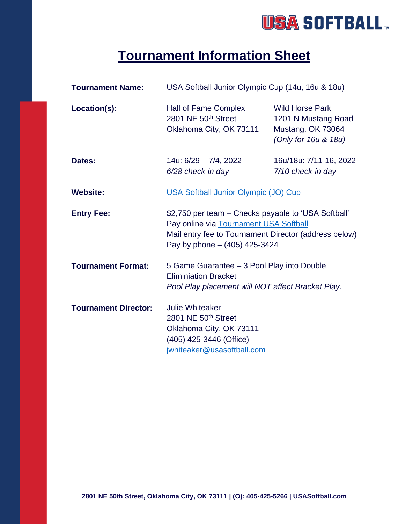## USA SOFTBALL.

## **Tournament Information Sheet**

| <b>Tournament Name:</b>     | USA Softball Junior Olympic Cup (14u, 16u & 18u)                                                                                                                                          |                                                                                            |
|-----------------------------|-------------------------------------------------------------------------------------------------------------------------------------------------------------------------------------------|--------------------------------------------------------------------------------------------|
| Location(s):                | Hall of Fame Complex<br>2801 NE 50th Street<br>Oklahoma City, OK 73111                                                                                                                    | <b>Wild Horse Park</b><br>1201 N Mustang Road<br>Mustang, OK 73064<br>(Only for 16u & 18u) |
| Dates:                      | 14u: 6/29 - 7/4, 2022<br>6/28 check-in day                                                                                                                                                | 16u/18u: 7/11-16, 2022<br>7/10 check-in day                                                |
| <b>Website:</b>             | <b>USA Softball Junior Olympic (JO) Cup</b>                                                                                                                                               |                                                                                            |
| <b>Entry Fee:</b>           | \$2,750 per team – Checks payable to 'USA Softball'<br>Pay online via Tournament USA Softball<br>Mail entry fee to Tournament Director (address below)<br>Pay by phone $-$ (405) 425-3424 |                                                                                            |
| <b>Tournament Format:</b>   | 5 Game Guarantee - 3 Pool Play into Double<br><b>Eliminiation Bracket</b><br>Pool Play placement will NOT affect Bracket Play.                                                            |                                                                                            |
| <b>Tournament Director:</b> | <b>Julie Whiteaker</b><br>2801 NE 50th Street<br>Oklahoma City, OK 73111<br>(405) 425-3446 (Office)<br>jwhiteaker@usasoftball.com                                                         |                                                                                            |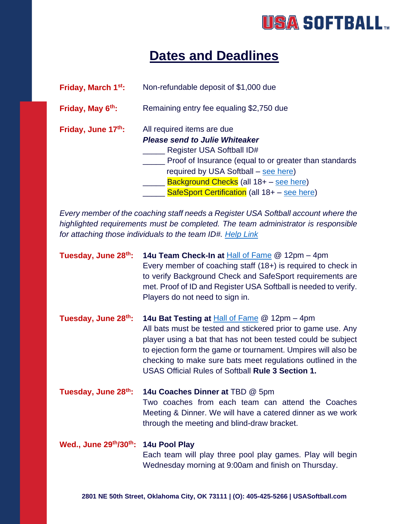## **USA SOFTBALL**

## **Dates and Deadlines**

| Friday, March 1 <sup>st</sup> : | Non-refundable deposit of \$1,000 due                                                                                                                                                                                                                                                        |
|---------------------------------|----------------------------------------------------------------------------------------------------------------------------------------------------------------------------------------------------------------------------------------------------------------------------------------------|
| Friday, May 6 <sup>th</sup> :   | Remaining entry fee equaling \$2,750 due                                                                                                                                                                                                                                                     |
| Friday, June 17th:              | All required items are due<br><b>Please send to Julie Whiteaker</b><br>Register USA Softball ID#<br>Proof of Insurance (equal to or greater than standards<br>required by USA Softball – see here)<br>Background Checks (all 18+ - see here)<br>SafeSport Certification (all 18+ - see here) |

*Every member of the coaching staff needs a Register USA Softball account where the highlighted requirements must be completed. The team administrator is responsible for attaching those individuals to the team ID#. [Help Link](https://registerusasoftball.com/Account/Docs.aspx)*

| Tuesday, June 28th:                 | 14u Team Check-In at Hall of Fame @ 12pm - 4pm<br>Every member of coaching staff $(18+)$ is required to check in<br>to verify Background Check and SafeSport requirements are<br>met. Proof of ID and Register USA Softball is needed to verify.<br>Players do not need to sign in.                                                                                      |
|-------------------------------------|--------------------------------------------------------------------------------------------------------------------------------------------------------------------------------------------------------------------------------------------------------------------------------------------------------------------------------------------------------------------------|
| Tuesday, June 28th:                 | 14u Bat Testing at <b>Hall of Fame @ 12pm - 4pm</b><br>All bats must be tested and stickered prior to game use. Any<br>player using a bat that has not been tested could be subject<br>to ejection form the game or tournament. Umpires will also be<br>checking to make sure bats meet regulations outlined in the<br>USAS Official Rules of Softball Rule 3 Section 1. |
| Tuesday, June 28th:                 | 14u Coaches Dinner at TBD @ 5pm<br>Two coaches from each team can attend the Coaches<br>Meeting & Dinner. We will have a catered dinner as we work<br>through the meeting and blind-draw bracket.                                                                                                                                                                        |
| Wed., June 29th/30th: 14u Pool Play | Each team will play three pool play games. Play will begin<br>Wednesday morning at 9:00am and finish on Thursday.                                                                                                                                                                                                                                                        |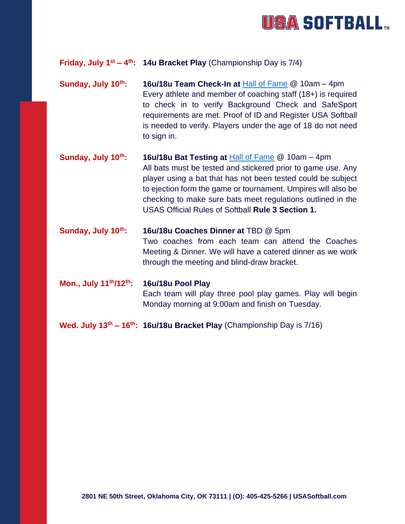

#### **Friday, July 1st – 4 th: 14u Bracket Play** (Championship Day is 7/4)

- **Sunday, July 10th: 16u/18u Team Check-In at** [Hall of Fame](https://www.teamusa.org/usa-softball/usa-softball-hall-of-fame-complex) @ 10am 4pm Every athlete and member of coaching staff (18+) is required to check in to verify Background Check and SafeSport requirements are met. Proof of ID and Register USA Softball is needed to verify. Players under the age of 18 do not need to sign in.
- **Sunday, July 10th: 16u/18u Bat Testing at** [Hall of Fame](https://www.teamusa.org/usa-softball/usa-softball-hall-of-fame-complex) @ 10am 4pm All bats must be tested and stickered prior to game use. Any player using a bat that has not been tested could be subject to ejection form the game or tournament. Umpires will also be checking to make sure bats meet regulations outlined in the USAS Official Rules of Softball **Rule 3 Section 1.**
- **Sunday, July 10th: 16u/18u Coaches Dinner at** TBD @ 5pm Two coaches from each team can attend the Coaches Meeting & Dinner. We will have a catered dinner as we work through the meeting and blind-draw bracket.
- **Mon., July 11th/12th: 16u/18u Pool Play** Each team will play three pool play games. Play will begin Monday morning at 9:00am and finish on Tuesday.
- **Wed. July 13th – 16th: 16u/18u Bracket Play** (Championship Day is 7/16)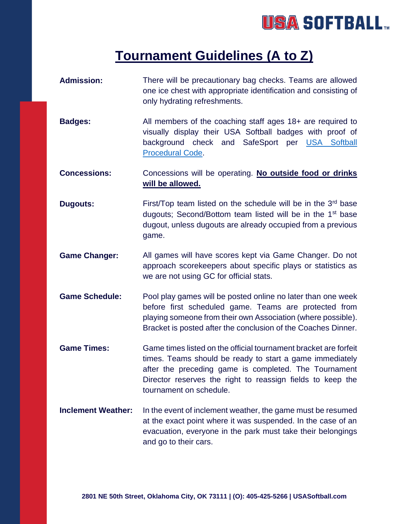## USA SOFTBALL.

### **Tournament Guidelines (A to Z)**

- **Admission:** There will be precautionary bag checks. Teams are allowed one ice chest with appropriate identification and consisting of only hydrating refreshments.
- **Badges:** All members of the coaching staff ages 18+ are required to visually display their USA Softball badges with proof of background check and SafeSport per USA Softball [Procedural](file:///C:/Users/Jwhiteaker/Downloads/USA%20Procedural%20Code%202822.pdf) Code.
- **Concessions:** Concessions will be operating. **No outside food or drinks will be allowed.**
- **Dugouts:** First/Top team listed on the schedule will be in the 3<sup>rd</sup> base dugouts; Second/Bottom team listed will be in the 1<sup>st</sup> base dugout, unless dugouts are already occupied from a previous game.
- **Game Changer:** All games will have scores kept via Game Changer. Do not approach scorekeepers about specific plays or statistics as we are not using GC for official stats.
- **Game Schedule:** Pool play games will be posted online no later than one week before first scheduled game. Teams are protected from playing someone from their own Association (where possible). Bracket is posted after the conclusion of the Coaches Dinner.
- **Game Times:** Game times listed on the official tournament bracket are forfeit times. Teams should be ready to start a game immediately after the preceding game is completed. The Tournament Director reserves the right to reassign fields to keep the tournament on schedule.
- **Inclement Weather:** In the event of inclement weather, the game must be resumed at the exact point where it was suspended. In the case of an evacuation, everyone in the park must take their belongings and go to their cars.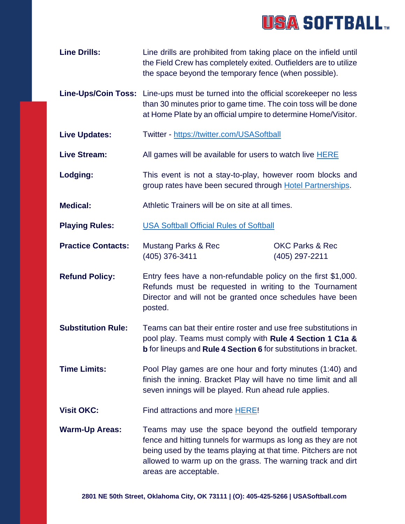

| <b>Line Drills:</b> | Line drills are prohibited from taking place on the infield until |
|---------------------|-------------------------------------------------------------------|
|                     | the Field Crew has completely exited. Outfielders are to utilize  |
|                     | the space beyond the temporary fence (when possible).             |

- **Line-Ups/Coin Toss:** Line-ups must be turned into the official scorekeeper no less than 30 minutes prior to game time. The coin toss will be done at Home Plate by an official umpire to determine Home/Visitor.
- **Live Updates:** Twitter <https://twitter.com/USASoftball>
- Live Stream: All games will be available for users to watch live **HERE**
- **Lodging:** This event is not a stay-to-play, however room blocks and group rates have been secured through [Hotel Partnerships.](https://www.teamusa.org/USA-Softball/USA-Softball-Hall-of-Fame-Complex/Hotel-Partners)
- **Medical:** Athletic Trainers will be on site at all times.

**Playing Rules:** [USA Softball Official Rules of Softball](file:///C:/Users/Jwhiteaker/Downloads/2022USASoftballRulebook.pdf)

- **Practice Contacts:** Mustang Parks & Rec **OKC Parks & Rec** (405) 376-3411 (405) 297-2211
- **Refund Policy:** Entry fees have a non-refundable policy on the first \$1,000. Refunds must be requested in writing to the Tournament Director and will not be granted once schedules have been posted.
- **Substitution Rule:** Teams can bat their entire roster and use free substitutions in pool play. Teams must comply with **Rule 4 Section 1 C1a & b** for lineups and **Rule 4 Section 6** for substitutions in bracket.
- **Time Limits:** Pool Play games are one hour and forty minutes (1:40) and finish the inning. Bracket Play will have no time limit and all seven innings will be played. Run ahead rule applies.
- **Visit OKC:** Find attractions and more [HERE!](https://www.visitokc.com/events/?utm_source=google&utm_medium=cpc&utm_campaign=Events%20-%20Local%20-%20SV&utm_term=oklahoma%20events&gclid=Cj0KCQiAjJOQBhCkARIsAEKMtO3AY0jUtCtzdSjTzsBZSEx5vH58tlNOEBXKdk4a8hJ1100eSoj0ZHQaAmmMEALw_wcB)
- **Warm-Up Areas:** Teams may use the space beyond the outfield temporary fence and hitting tunnels for warmups as long as they are not being used by the teams playing at that time. Pitchers are not allowed to warm up on the grass. The warning track and dirt areas are acceptable.